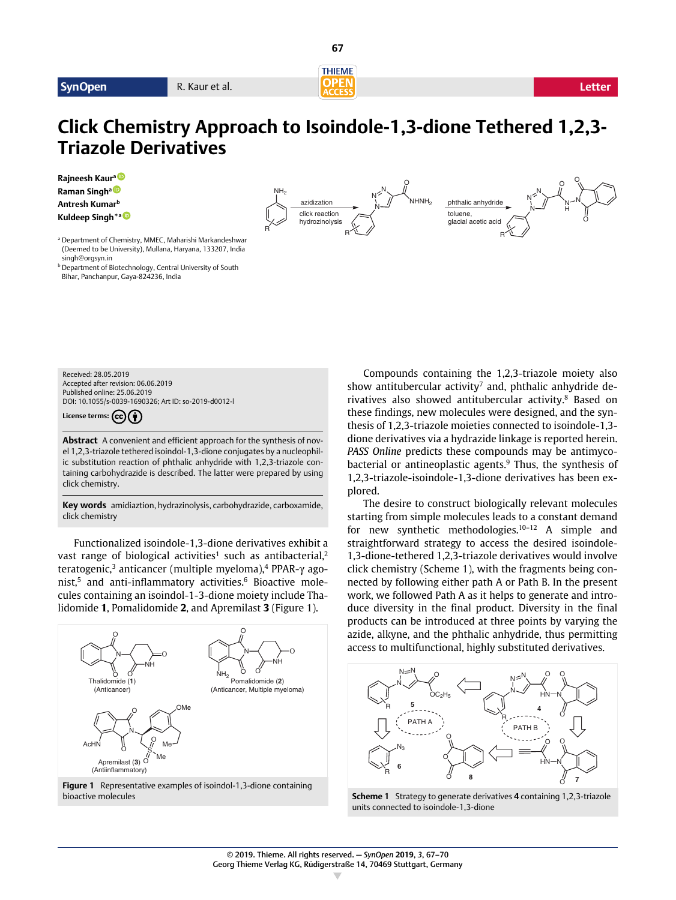

**67**

O

O

# **Click Chemistry Approach to Isoindole-1,3-dione Tethered 1,2,3- Triazole Derivatives**

**Rajneesh Kaura0-2-4504-1290 Raman Singha0-3-1678-3620 Antresh Kumarb Kuldeep Singh\*a0-2-2913-64**

 $N^{\mu}$   $N^{\nu}$   $N^{\nu}$   $N^{\nu}$ <sup>N</sup> <sup>N</sup> H N O R  $N \nless \nolimits^N$ <sup>N</sup> NHNH2 <sup>R</sup> <sup>R</sup> click reaction hydrozinolysis azidization **but i** i // **NHNH**<sub>2</sub> phthalic anhydride toluene, glacial acetic acid

O

<sup>a</sup> Department of Chemistry, MMEC, Maharishi Markandeshwar (Deemed to be University), Mullana, Haryana, 133207, India singh@orgsyn.in

**b** Department of Biotechnology, Central University of South Bihar, Panchanpur, Gaya-824236, India

Received: 28.05.2019 Accepted after revision: 06.06.2019 Published online: 25.06.2019 DOI: 10.1055/s-0039-1690326: Art ID: so-2019-d0012-

License terms: (cc)(<sup>\*</sup>)

**Abstract** A convenient and efficient approach for the synthesis of novel 1,2,3-triazole tethered isoindol-1,3-dione conjugates by a nucleophilic substitution reaction of phthalic anhydride with 1,2,3-triazole containing carbohydrazide is described. The latter were prepared by using click chemistry.

**Key words** amidiaztion, hydrazinolysis, carbohydrazide, carboxamide, click chemistry

Functionalized isoindole-1,3-dione derivatives exhibit a vast range of biological activities<sup>1</sup> such as antibacterial,<sup>2</sup> teratogenic,<sup>3</sup> anticancer (multiple myeloma),<sup>4</sup> PPAR- $\gamma$  agonist.<sup>5</sup> and anti-inflammatory activities.<sup>6</sup> Bioactive molecules containing an isoindol-1-3-dione moiety include Thalidomide **1**, Pomalidomide **2**, and Apremilast **3** (Figure 1).



**Figure 1** Representative examples of isoindol-1,3-dione containing bioactive molecules

Compounds containing the 1,2,3-triazole moiety also show antitubercular activity<sup>7</sup> and, phthalic anhydride derivatives also showed antitubercular activity.8 Based on these findings, new molecules were designed, and the synthesis of 1,2,3-triazole moieties connected to isoindole-1,3 dione derivatives via a hydrazide linkage is reported herein. *PASS Online* predicts these compounds may be antimycobacterial or antineoplastic agents.9 Thus, the synthesis of 1,2,3-triazole-isoindole-1,3-dione derivatives has been explored.

The desire to construct biologically relevant molecules starting from simple molecules leads to a constant demand for new synthetic methodologies.10–12 A simple and straightforward strategy to access the desired isoindole-1,3-dione-tethered 1,2,3-triazole derivatives would involve click chemistry (Scheme 1), with the fragments being connected by following either path A or Path B. In the present work, we followed Path A as it helps to generate and introduce diversity in the final product. Diversity in the final products can be introduced at three points by varying the azide, alkyne, and the phthalic anhydride, thus permitting access to multifunctional, highly substituted derivatives.



**Scheme 1** Strategy to generate derivatives **4** containing 1,2,3-triazole units connected to isoindole-1,3-dione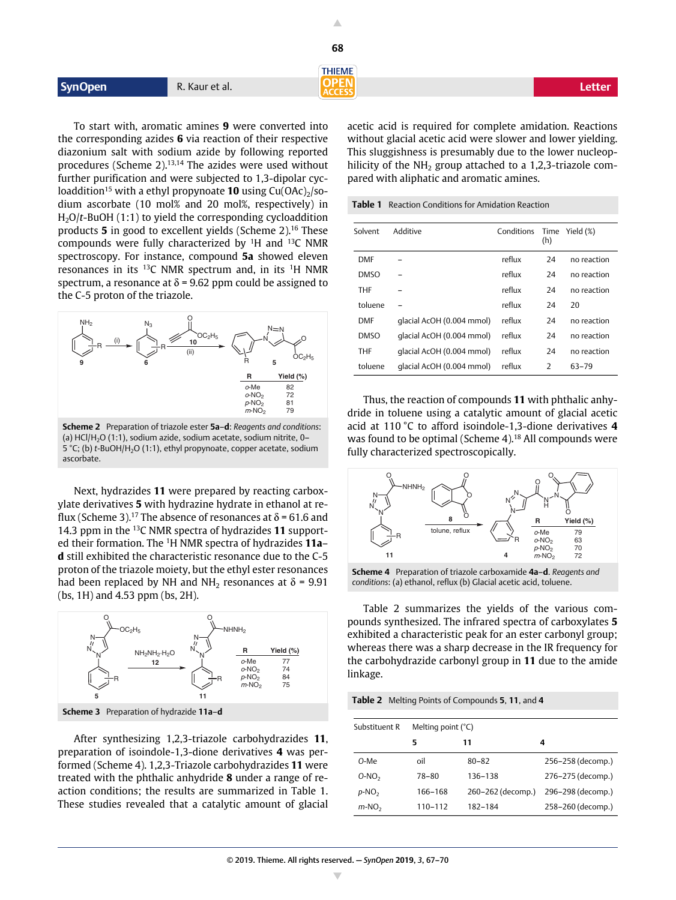|                |                | <b>THIEME</b>   |        |
|----------------|----------------|-----------------|--------|
| <b>SynOpen</b> | R. Kaur et al. | DDENN<br>ACCESS | Letter |
|                |                |                 |        |

**68**

To start with, aromatic amines **9** were converted into the corresponding azides **6** via reaction of their respective diazonium salt with sodium azide by following reported procedures (Scheme 2).13,14 The azides were used without further purification and were subjected to 1,3-dipolar cycloaddition<sup>15</sup> with a ethyl propynoate **10** using  $Cu(OAc)_{2}/so$ dium ascorbate (10 mol% and 20 mol%, respectively) in H2O/*t*-BuOH (1:1) to yield the corresponding cycloaddition products **5** in good to excellent yields (Scheme 2).16 These compounds were fully characterized by 1H and 13C NMR spectroscopy. For instance, compound **5a** showed eleven resonances in its 13C NMR spectrum and, in its 1H NMR spectrum, a resonance at  $\delta$  = 9.62 ppm could be assigned to the C-5 proton of the triazole.



**Scheme 2** Preparation of triazole ester **5a**–**d**: *Reagents and conditions*: (a) HCl/H<sub>2</sub>O (1:1), sodium azide, sodium acetate, sodium nitrite, 0-5 °C; (b) *t*-BuOH/H<sub>2</sub>O (1:1), ethyl propynoate, copper acetate, sodium ascorbate.

Next, hydrazides **11** were prepared by reacting carboxylate derivatives **5** with hydrazine hydrate in ethanol at reflux (Scheme 3).<sup>17</sup> The absence of resonances at  $\delta$  = 61.6 and 14.3 ppm in the 13C NMR spectra of hydrazides **11** supported their formation. The 1H NMR spectra of hydrazides **11a**– **d** still exhibited the characteristic resonance due to the C-5 proton of the triazole moiety, but the ethyl ester resonances had been replaced by NH and NH<sub>2</sub> resonances at  $\delta$  = 9.91 (bs, 1H) and 4.53 ppm (bs, 2H).



After synthesizing 1,2,3-triazole carbohydrazides **11**, preparation of isoindole-1,3-dione derivatives **4** was performed (Scheme 4). 1,2,3-Triazole carbohydrazides **11** were treated with the phthalic anhydride **8** under a range of reaction conditions; the results are summarized in Table 1. These studies revealed that a catalytic amount of glacial acetic acid is required for complete amidation. Reactions without glacial acetic acid were slower and lower yielding. This sluggishness is presumably due to the lower nucleophilicity of the  $NH<sub>2</sub>$  group attached to a 1,2,3-triazole compared with aliphatic and aromatic amines.

**Table 1** Reaction Conditions for Amidation Reaction

| Solvent     | Additive                  | Conditions | (h)            | Time Yield (%) |
|-------------|---------------------------|------------|----------------|----------------|
| <b>DMF</b>  |                           | reflux     | 24             | no reaction    |
| <b>DMSO</b> |                           | reflux     | 24             | no reaction    |
| <b>THF</b>  |                           | reflux     | 24             | no reaction    |
| toluene     |                           | reflux     | 24             | 20             |
| <b>DMF</b>  | qlacial AcOH (0.004 mmol) | reflux     | 24             | no reaction    |
| <b>DMSO</b> | qlacial AcOH (0.004 mmol) | reflux     | 24             | no reaction    |
| <b>THF</b>  | qlacial AcOH (0.004 mmol) | reflux     | 24             | no reaction    |
| toluene     | qlacial AcOH (0.004 mmol) | reflux     | $\overline{2}$ | 63-79          |

Thus, the reaction of compounds **11** with phthalic anhydride in toluene using a catalytic amount of glacial acetic acid at 110 °C to afford isoindole-1,3-dione derivatives **4** was found to be optimal (Scheme 4).<sup>18</sup> All compounds were fully characterized spectroscopically.



**Scheme 4** Preparation of triazole carboxamide **4a**–**d**. *Reagents and conditions*: (a) ethanol, reflux (b) Glacial acetic acid, toluene.

Table 2 summarizes the yields of the various compounds synthesized. The infrared spectra of carboxylates **5** exhibited a characteristic peak for an ester carbonyl group; whereas there was a sharp decrease in the IR frequency for the carbohydrazide carbonyl group in **11** due to the amide linkage.

**Table 2** Melting Points of Compounds **5**, **11**, and **4**

| Substituent R | Melting point $(^{\circ}C)$ |                   |                   |  |  |
|---------------|-----------------------------|-------------------|-------------------|--|--|
|               | 5                           | 11                | 4                 |  |  |
| O-Me          | oil                         | $80 - 82$         | 256-258 (decomp.) |  |  |
| $O-NO2$       | 78–80                       | 136-138           | 276-275 (decomp.) |  |  |
| $p-NO2$       | 166-168                     | 260-262 (decomp.) | 296-298 (decomp.) |  |  |
| $m-NO2$       | 110-112                     | 182-184           | 258-260 (decomp.) |  |  |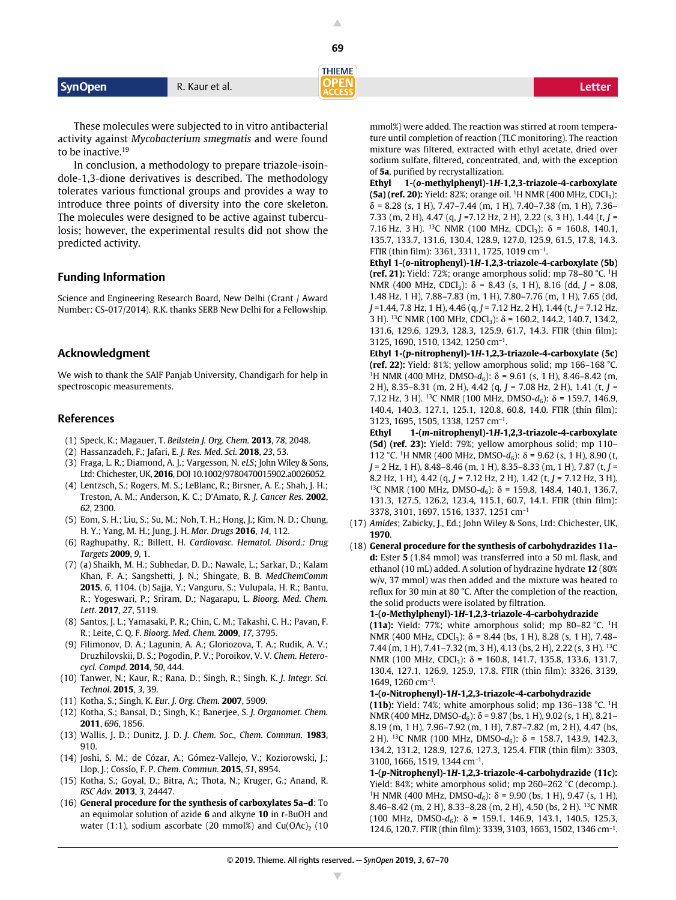**THIEME** 

**Syn Open** R. Kaur et al. **Letter R. Kaur et al. Letter R. Kaur et al. 2007 (2008)** 

These molecules were subjected to in vitro antibacterial activity against *Mycobacterium smegmatis* and were found to be inactive.<sup>19</sup>

In conclusion, a methodology to prepare triazole-isoindole-1,3-dione derivatives is described. The methodology tolerates various functional groups and provides a way to introduce three points of diversity into the core skeleton. The molecules were designed to be active against tuberculosis; however, the experimental results did not show the predicted activity.

# **Funding Information**

Science and Engineering Research Board, New Delhi (Grant / Award Number: CS-017/2014). R.K. thanks SERB New Delhi for a Fellowship.

## **Acknowledgment**

We wish to thank the SAIF Panjab University, Chandigarh for help in spectroscopic measurements.

# **References**

- (1) Speck, K.; Magauer, T. *Beilstein J. Org. Chem.* **2013**, *78*, 2048.
- (2) Hassanzadeh, F.; Jafari, E. *J. Res. Med. Sci.* **2018**, *23*, 53.
- (3) Fraga, L. R.; Diamond, A. J.; Vargesson, N. *eLS*; John Wiley & Sons, Ltd: Chichester, UK, **2016**, DOI 10.1002/9780470015902.a0026052.
- (4) Lentzsch, S.; Rogers, M. S.; LeBlanc, R.; Birsner, A. E.; Shah, J. H.; Treston, A. M.; Anderson, K. C.; D'Amato, R. *J. Cancer Res.* **2002**, *62*, 2300.
- (5) Eom, S. H.; Liu, S.; Su, M.; Noh, T. H.; Hong, J.; Kim, N. D.; Chung, H. Y.; Yang, M. H.; Jung, J. H. *Mar. Drugs* **2016**, *14*, 112.
- (6) Raghupathy, R.; Billett, H. *Cardiovasc. Hematol. Disord.: Drug Targets* **2009**, *9*, 1.
- (7) (a) Shaikh, M. H.; Subhedar, D. D.; Nawale, L.; Sarkar, D.; Kalam Khan, F. A.; Sangshetti, J. N.; Shingate, B. B. *MedChemComm* **2015**, *6*, 1104. (b) Sajja, Y.; Vanguru, S.; Vulupala, H. R.; Bantu, R.; Yogeswari, P.; Sriram, D.; Nagarapu, L. *Bioorg. Med. Chem. Lett.* **2017**, *27*, 5119.
- (8) Santos, J. L.; Yamasaki, P. R.; Chin, C. M.; Takashi, C. H.; Pavan, F. R.; Leite, C. Q. F. *Bioorg. Med. Chem.* **2009**, *17*, 3795.
- (9) Filimonov, D. A.; Lagunin, A. A.; Gloriozova, T. A.; Rudik, A. V.; Druzhilovskii, D. S.; Pogodin, P. V.; Poroikov, V. V. *Chem. Heterocycl. Compd.* **2014**, *50*, 444.
- (10) Tanwer, N.; Kaur, R.; Rana, D.; Singh, R.; Singh, K. *J. Integr. Sci. Technol.* **2015**, *3*, 39.
- (11) Kotha, S.; Singh, K. *Eur. J. Org. Chem.* **2007**, 5909.
- (12) Kotha, S.; Bansal, D.; Singh, K.; Banerjee, S. *J. Organomet. Chem.* **2011**, *696*, 1856.
- (13) Wallis, J. D.; Dunitz, J. D. *J. Chem. Soc., Chem. Commun.* **1983**, 910.
- (14) Joshi, S. M.; de Cózar, A.; Gómez-Vallejo, V.; Koziorowski, J.; Llop, J.; Cossío, F. P. *Chem. Commun.* **2015**, *51*, 8954.
- (15) Kotha, S.; Goyal, D.; Bitra, A.; Thota, N.; Kruger, G.; Anand, R. *RSC Adv.* **2013**, *3*, 24447.
- (16) **General procedure for the synthesis of carboxylates 5a–d**: To an equimolar solution of azide **6** and alkyne **10** in *t*-BuOH and water (1:1), sodium ascorbate (20 mmol%) and  $Cu(OAc)_{2}$  (10

mmol%) were added. The reaction was stirred at room temperature until completion of reaction (TLC monitoring). The reaction mixture was filtered, extracted with ethyl acetate, dried over sodium sulfate, filtered, concentrated, and, with the exception of **5a**, purified by recrystallization.

**Ethyl 1-(***o***-methylphenyl)-1***H***-1,2,3-triazole-4-carboxylate (5a) (ref. 20):** Yield: 82%; orange oil. <sup>1</sup>H NMR (400 MHz, CDCl<sub>3</sub>):  $\delta$  = 8.28 (s, 1 H), 7.47–7.44 (m, 1 H), 7.40–7.38 (m, 1 H), 7.36– 7.33 (m, 2 H), 4.47 (q, *J* =7.12 Hz, 2 H), 2.22 (s, 3 H), 1.44 (t, *J* = 7.16 Hz, 3 H). <sup>13</sup>C NMR (100 MHz, CDCl<sub>3</sub>):  $\delta$  = 160.8, 140.1, 135.7, 133.7, 131.6, 130.4, 128.9, 127.0, 125.9, 61.5, 17.8, 14.3. FTIR (thin film): 3361, 3311, 1725, 1019 cm–1.

**Ethyl 1-(***o***-nitrophenyl)-1***H***-1,2,3-triazole-4-carboxylate (5b) (ref. 21):** Yield: 72%; orange amorphous solid; mp 78–80 °C. 1H NMR (400 MHz, CDCl<sub>3</sub>):  $\delta$  = 8.43 (s, 1 H), 8.16 (dd, *J* = 8.08, 1.48 Hz, 1 H), 7.88–7.83 (m, 1 H), 7.80–7.76 (m, 1 H), 7.65 (dd, *J* =1.44, 7.8 Hz, 1 H), 4.46 (q, *J* = 7.12 Hz, 2 H), 1.44 (t, *J* = 7.12 Hz, 3 H). <sup>13</sup>C NMR (100 MHz, CDCl<sub>3</sub>):  $\delta$  = 160.2, 144.2, 140.7, 134.2, 131.6, 129.6, 129.3, 128.3, 125.9, 61.7, 14.3. FTIR (thin film): 3125, 1690, 1510, 1342, 1250 cm–1.

**Ethyl 1-(***p***-nitrophenyl)-1***H***-1,2,3-triazole-4-carboxylate (5c) (ref. 22):** Yield: 81%; yellow amorphous solid; mp 166–168 °C. <sup>1</sup>H NMR (400 MHz, DMSO- $d_6$ ):  $\delta$  = 9.61 (s, 1 H), 8.46–8.42 (m, 2 H), 8.35–8.31 (m, 2 H), 4.42 (q, *J* = 7.08 Hz, 2 H), 1.41 (t, *J* = 7.12 Hz, 3 H). <sup>13</sup>C NMR (100 MHz, DMSO- $d_6$ ):  $\delta$  = 159.7, 146.9, 140.4, 140.3, 127.1, 125.1, 120.8, 60.8, 14.0. FTIR (thin film): 3123, 1695, 1505, 1338, 1257 cm–1.

**Ethyl 1-(***m***-nitrophenyl)-1***H***-1,2,3-triazole-4-carboxylate (5d) (ref. 23):** Yield: 79%; yellow amorphous solid; mp 110– 112 °C. <sup>1</sup>H NMR (400 MHz, DMSO- $d_6$ ):  $\delta$  = 9.62 (s, 1 H), 8.90 (t, *J* = 2 Hz, 1 H), 8.48–8.46 (m, 1 H), 8.35–8.33 (m, 1 H), 7.87 (t, *J* = 8.2 Hz, 1 H), 4.42 (q, *J* = 7.12 Hz, 2 H), 1.42 (t, *J* = 7.12 Hz, 3 H). <sup>13</sup>C NMR (100 MHz, DMSO- $d_6$ ):  $\delta$  = 159.8, 148.4, 140.1, 136.7, 131.3, 127.5, 126.2, 123.4, 115.1, 60.7, 14.1. FTIR (thin film): 3378, 3101, 1697, 1516, 1337, 1251 cm–1

- (17) *Amides*; Zabicky, J., Ed.; John Wiley & Sons, Ltd: Chichester, UK, **1970**.
- (18) **General procedure for the synthesis of carbohydrazides 11a– d:** Ester **5** (1.84 mmol) was transferred into a 50 mL flask, and ethanol (10 mL) added. A solution of hydrazine hydrate **12** (80% w/v, 37 mmol) was then added and the mixture was heated to reflux for 30 min at 80 °C. After the completion of the reaction, the solid products were isolated by filtration.

### **1-(***o***-Methylphenyl)-1***H***-1,2,3-triazole-4-carbohydrazide**

**(11a):** Yield: 77%; white amorphous solid; mp 80–82 °C. 1H NMR (400 MHz, CDCl<sub>3</sub>):  $\delta$  = 8.44 (bs, 1 H), 8.28 (s, 1 H), 7.48– 7.44 (m, 1 H), 7.41–7.32 (m, 3 H), 4.13 (bs, 2 H), 2.22 (s, 3 H). 13C NMR (100 MHz, CDCl<sub>3</sub>):  $\delta$  = 160.8, 141.7, 135.8, 133.6, 131.7, 130.4, 127.1, 126.9, 125.9, 17.8. FTIR (thin film): 3326, 3139, 1649, 1260 cm–1.

### **1-(***o***-Nitrophenyl)-1***H***-1,2,3-triazole-4-carbohydrazide**

**(11b):** Yield: 74%; white amorphous solid; mp 136–138 °C. 1H NMR (400 MHz, DMSO- $d_6$ ):  $\delta$  = 9.87 (bs, 1 H), 9.02 (s, 1 H), 8.21– 8.19 (m, 1 H), 7.96–7.92 (m, 1 H), 7.87–7.82 (m, 2 H), 4.47 (bs, 2 H). <sup>13</sup>C NMR (100 MHz, DMSO-d<sub>6</sub>): δ = 158.7, 143.9, 142.3, 134.2, 131.2, 128.9, 127.6, 127.3, 125.4. FTIR (thin film): 3303, 3100, 1666, 1519, 1344 cm–1.

**1-(***p***-Nitrophenyl)-1***H***-1,2,3-triazole-4-carbohydrazide (11c):** Yield: 84%; white amorphous solid; mp 260–262 °C (decomp.). <sup>1</sup>H NMR (400 MHz, DMSO- $d_6$ ):  $\delta$  = 9.90 (bs, 1 H), 9.47 (s, 1 H), 8.46–8.42 (m, 2 H), 8.33–8.28 (m, 2 H), 4.50 (bs, 2 H). 13C NMR (100 MHz, DMSO- $d_6$ ):  $\delta$  = 159.1, 146.9, 143.1, 140.5, 125.3, 124.6, 120.7. FTIR (thin film): 3339, 3103, 1663, 1502, 1346 cm–1.